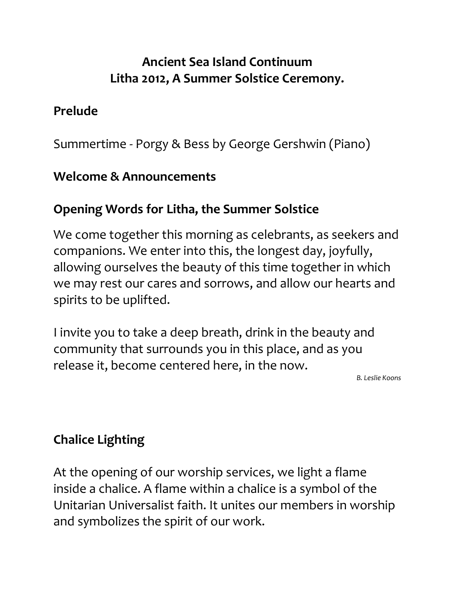## Ancient Sea Island Continuum Litha 2012, A Summer Solstice Ceremony.

#### Prelude

Summertime - Porgy & Bess by George Gershwin (Piano)

#### Welcome & Announcements

### Opening Words for Litha, the Summer Solstice

We come together this morning as celebrants, as seekers and companions. We enter into this, the longest day, joyfully, allowing ourselves the beauty of this time together in which we may rest our cares and sorrows, and allow our hearts and spirits to be uplifted.

I invite you to take a deep breath, drink in the beauty and community that surrounds you in this place, and as you release it, become centered here, in the now.

B. Leslie Koons

# Chalice Lighting

At the opening of our worship services, we light a flame inside a chalice. A flame within a chalice is a symbol of the Unitarian Universalist faith. It unites our members in worship and symbolizes the spirit of our work.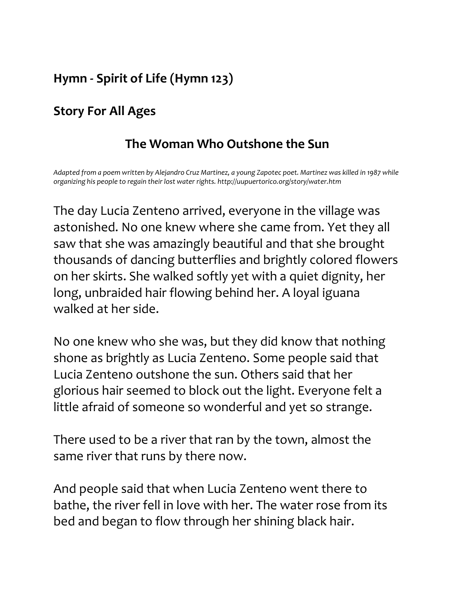# Hymn - Spirit of Life (Hymn 123)

# Story For All Ages

### The Woman Who Outshone the Sun

Adapted from a poem written by Alejandro Cruz Martinez, a young Zapotec poet. Martinez was killed in 1987 while organizing his people to regain their lost water rights. http://uupuertorico.org/story/water.htm

The day Lucia Zenteno arrived, everyone in the village was astonished. No one knew where she came from. Yet they all saw that she was amazingly beautiful and that she brought thousands of dancing butterflies and brightly colored flowers on her skirts. She walked softly yet with a quiet dignity, her long, unbraided hair flowing behind her. A loyal iguana walked at her side.

No one knew who she was, but they did know that nothing shone as brightly as Lucia Zenteno. Some people said that Lucia Zenteno outshone the sun. Others said that her glorious hair seemed to block out the light. Everyone felt a little afraid of someone so wonderful and yet so strange.

There used to be a river that ran by the town, almost the same river that runs by there now.

And people said that when Lucia Zenteno went there to bathe, the river fell in love with her. The water rose from its bed and began to flow through her shining black hair.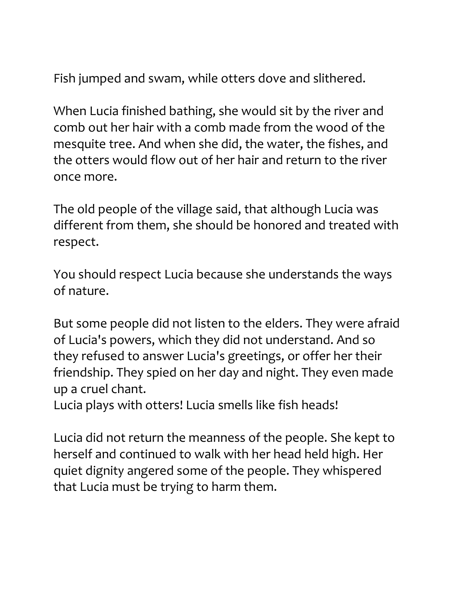Fish jumped and swam, while otters dove and slithered.

When Lucia finished bathing, she would sit by the river and comb out her hair with a comb made from the wood of the mesquite tree. And when she did, the water, the fishes, and the otters would flow out of her hair and return to the river once more.

The old people of the village said, that although Lucia was different from them, she should be honored and treated with respect.

You should respect Lucia because she understands the ways of nature.

But some people did not listen to the elders. They were afraid of Lucia's powers, which they did not understand. And so they refused to answer Lucia's greetings, or offer her their friendship. They spied on her day and night. They even made up a cruel chant.

Lucia plays with otters! Lucia smells like fish heads!

Lucia did not return the meanness of the people. She kept to herself and continued to walk with her head held high. Her quiet dignity angered some of the people. They whispered that Lucia must be trying to harm them.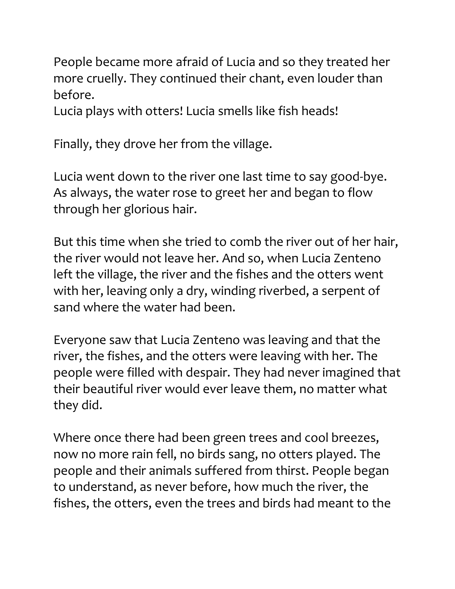People became more afraid of Lucia and so they treated her more cruelly. They continued their chant, even louder than before.

Lucia plays with otters! Lucia smells like fish heads!

Finally, they drove her from the village.

Lucia went down to the river one last time to say good-bye. As always, the water rose to greet her and began to flow through her glorious hair.

But this time when she tried to comb the river out of her hair, the river would not leave her. And so, when Lucia Zenteno left the village, the river and the fishes and the otters went with her, leaving only a dry, winding riverbed, a serpent of sand where the water had been.

Everyone saw that Lucia Zenteno was leaving and that the river, the fishes, and the otters were leaving with her. The people were filled with despair. They had never imagined that their beautiful river would ever leave them, no matter what they did.

Where once there had been green trees and cool breezes, now no more rain fell, no birds sang, no otters played. The people and their animals suffered from thirst. People began to understand, as never before, how much the river, the fishes, the otters, even the trees and birds had meant to the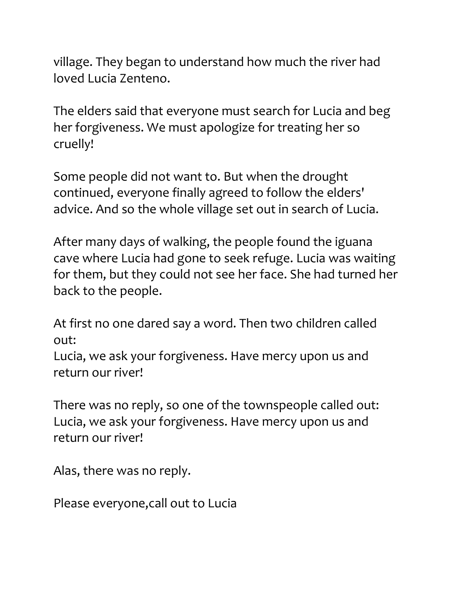village. They began to understand how much the river had loved Lucia Zenteno.

The elders said that everyone must search for Lucia and beg her forgiveness. We must apologize for treating her so cruelly!

Some people did not want to. But when the drought continued, everyone finally agreed to follow the elders' advice. And so the whole village set out in search of Lucia.

After many days of walking, the people found the iguana cave where Lucia had gone to seek refuge. Lucia was waiting for them, but they could not see her face. She had turned her back to the people.

At first no one dared say a word. Then two children called out:

Lucia, we ask your forgiveness. Have mercy upon us and return our river!

There was no reply, so one of the townspeople called out: Lucia, we ask your forgiveness. Have mercy upon us and return our river!

Alas, there was no reply.

Please everyone,call out to Lucia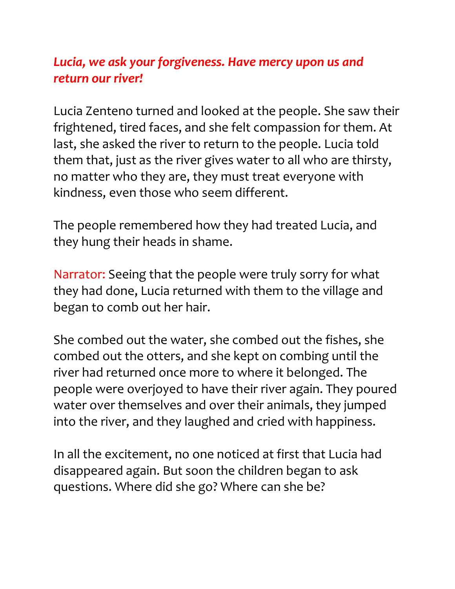### Lucia, we ask your forgiveness. Have mercy upon us and return our river!

Lucia Zenteno turned and looked at the people. She saw their frightened, tired faces, and she felt compassion for them. At last, she asked the river to return to the people. Lucia told them that, just as the river gives water to all who are thirsty, no matter who they are, they must treat everyone with kindness, even those who seem different.

The people remembered how they had treated Lucia, and they hung their heads in shame.

Narrator: Seeing that the people were truly sorry for what they had done, Lucia returned with them to the village and began to comb out her hair.

She combed out the water, she combed out the fishes, she combed out the otters, and she kept on combing until the river had returned once more to where it belonged. The people were overjoyed to have their river again. They poured water over themselves and over their animals, they jumped into the river, and they laughed and cried with happiness.

In all the excitement, no one noticed at first that Lucia had disappeared again. But soon the children began to ask questions. Where did she go? Where can she be?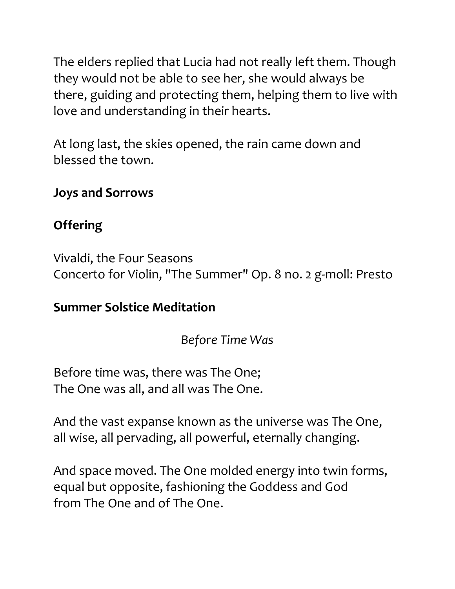The elders replied that Lucia had not really left them. Though they would not be able to see her, she would always be there, guiding and protecting them, helping them to live with love and understanding in their hearts.

At long last, the skies opened, the rain came down and blessed the town.

#### Joys and Sorrows

# **Offering**

Vivaldi, the Four Seasons Concerto for Violin, "The Summer" Op. 8 no. 2 g-moll: Presto

### Summer Solstice Meditation

Before Time Was

Before time was, there was The One; The One was all, and all was The One.

And the vast expanse known as the universe was The One, all wise, all pervading, all powerful, eternally changing.

And space moved. The One molded energy into twin forms, equal but opposite, fashioning the Goddess and God from The One and of The One.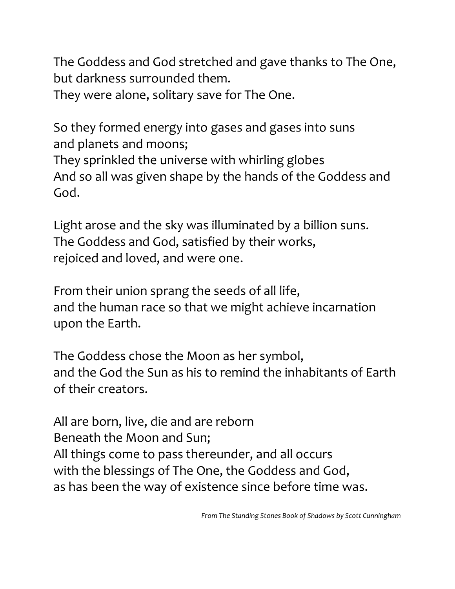The Goddess and God stretched and gave thanks to The One, but darkness surrounded them.

They were alone, solitary save for The One.

So they formed energy into gases and gases into suns and planets and moons; They sprinkled the universe with whirling globes And so all was given shape by the hands of the Goddess and God.

Light arose and the sky was illuminated by a billion suns. The Goddess and God, satisfied by their works, rejoiced and loved, and were one.

From their union sprang the seeds of all life, and the human race so that we might achieve incarnation upon the Earth.

The Goddess chose the Moon as her symbol, and the God the Sun as his to remind the inhabitants of Earth of their creators.

All are born, live, die and are reborn Beneath the Moon and Sun; All things come to pass thereunder, and all occurs with the blessings of The One, the Goddess and God, as has been the way of existence since before time was.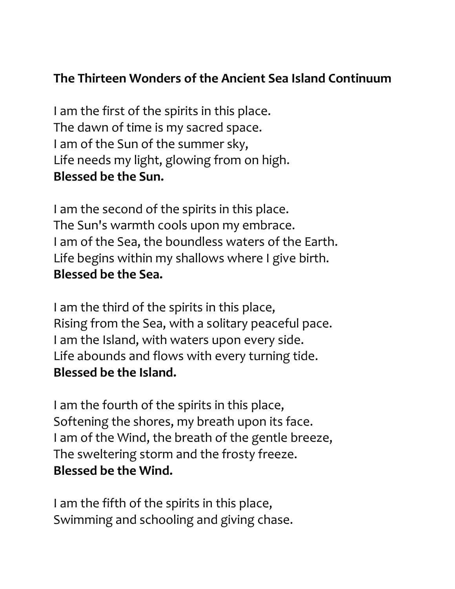### The Thirteen Wonders of the Ancient Sea Island Continuum

I am the first of the spirits in this place. The dawn of time is my sacred space. I am of the Sun of the summer sky, Life needs my light, glowing from on high. Blessed be the Sun.

I am the second of the spirits in this place. The Sun's warmth cools upon my embrace. I am of the Sea, the boundless waters of the Earth. Life begins within my shallows where I give birth. Blessed be the Sea.

I am the third of the spirits in this place, Rising from the Sea, with a solitary peaceful pace. I am the Island, with waters upon every side. Life abounds and flows with every turning tide. Blessed be the Island.

I am the fourth of the spirits in this place, Softening the shores, my breath upon its face. I am of the Wind, the breath of the gentle breeze, The sweltering storm and the frosty freeze. Blessed be the Wind.

I am the fifth of the spirits in this place, Swimming and schooling and giving chase.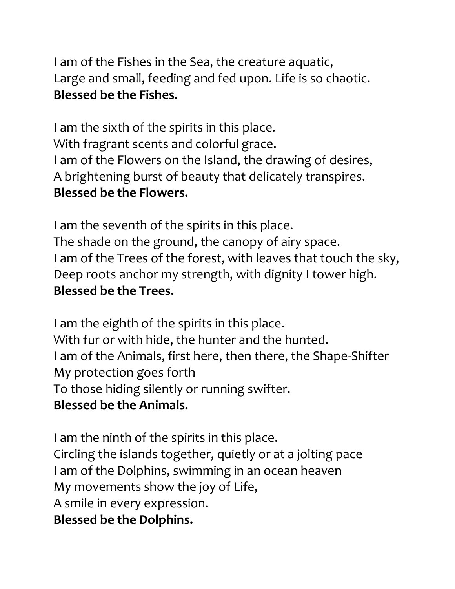I am of the Fishes in the Sea, the creature aquatic, Large and small, feeding and fed upon. Life is so chaotic. Blessed be the Fishes.

I am the sixth of the spirits in this place. With fragrant scents and colorful grace. I am of the Flowers on the Island, the drawing of desires, A brightening burst of beauty that delicately transpires. Blessed be the Flowers.

I am the seventh of the spirits in this place. The shade on the ground, the canopy of airy space. I am of the Trees of the forest, with leaves that touch the sky, Deep roots anchor my strength, with dignity I tower high. Blessed be the Trees.

I am the eighth of the spirits in this place. With fur or with hide, the hunter and the hunted. I am of the Animals, first here, then there, the Shape-Shifter My protection goes forth To those hiding silently or running swifter. Blessed be the Animals.

I am the ninth of the spirits in this place. Circling the islands together, quietly or at a jolting pace I am of the Dolphins, swimming in an ocean heaven My movements show the joy of Life, A smile in every expression. Blessed be the Dolphins.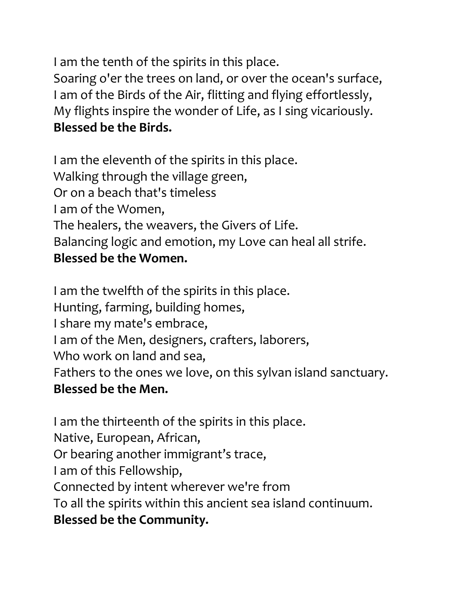I am the tenth of the spirits in this place.

Soaring o'er the trees on land, or over the ocean's surface, I am of the Birds of the Air, flitting and flying effortlessly, My flights inspire the wonder of Life, as I sing vicariously. Blessed be the Birds.

I am the eleventh of the spirits in this place. Walking through the village green, Or on a beach that's timeless I am of the Women, The healers, the weavers, the Givers of Life. Balancing logic and emotion, my Love can heal all strife. Blessed be the Women.

I am the twelfth of the spirits in this place. Hunting, farming, building homes, I share my mate's embrace, I am of the Men, designers, crafters, laborers, Who work on land and sea, Fathers to the ones we love, on this sylvan island sanctuary. Blessed be the Men.

I am the thirteenth of the spirits in this place. Native, European, African, Or bearing another immigrant's trace, I am of this Fellowship, Connected by intent wherever we're from To all the spirits within this ancient sea island continuum. Blessed be the Community.